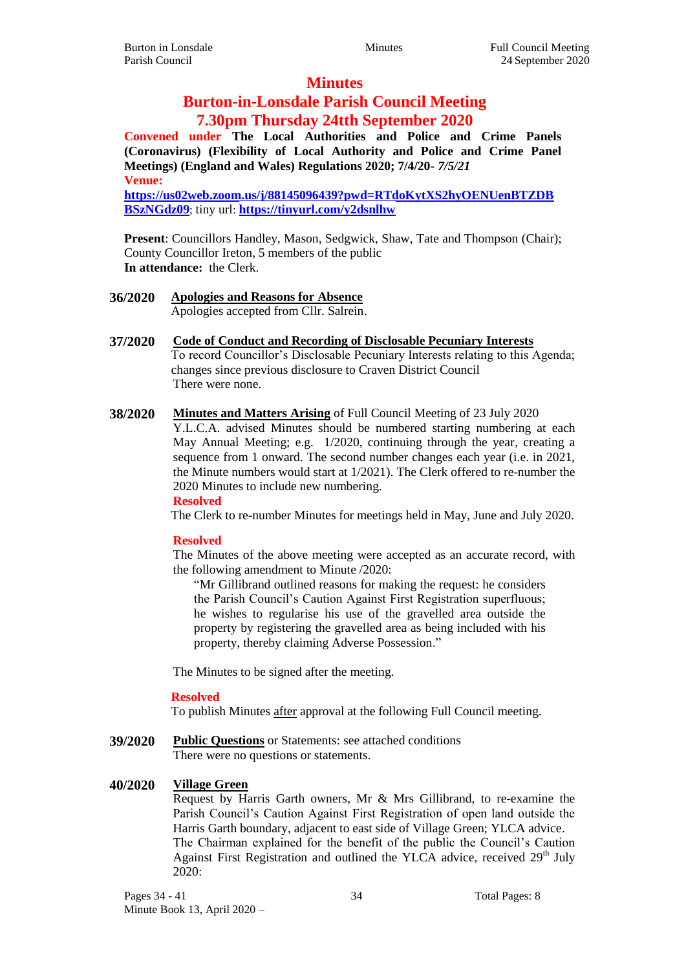## **Minutes**

## **Burton-in-Lonsdale Parish Council Meeting 7.30pm Thursday 24tth September 2020**

**Convened under The Local Authorities and Police and Crime Panels (Coronavirus) (Flexibility of Local Authority and Police and Crime Panel Meetings) (England and Wales) Regulations 2020; 7/4/20-** *7/5/21* **Venue:**

**[https://us02web.zoom.us/j/88145096439?pwd=RTdoKytXS2hyOENUenBTZDB](https://us02web.zoom.us/j/88145096439?pwd=RTdoKytXS2hyOENUenBTZDBBSzNGdz09) [BSzNGdz09](https://us02web.zoom.us/j/88145096439?pwd=RTdoKytXS2hyOENUenBTZDBBSzNGdz09)**; tiny url: **<https://tinyurl.com/y2dsnlhw>**

**Present**: Councillors Handley, Mason, Sedgwick, Shaw, Tate and Thompson (Chair); County Councillor Ireton, 5 members of the public **In attendance:** the Clerk.

## **36/2020 Apologies and Reasons for Absence**

Apologies accepted from Cllr. Salrein.

- **37/2020 Code of Conduct and Recording of Disclosable Pecuniary Interests** To record Councillor's Disclosable Pecuniary Interests relating to this Agenda; changes since previous disclosure to Craven District Council There were none.
- **38/2020 Minutes and Matters Arising** of Full Council Meeting of 23 July 2020 Y.L.C.A. advised Minutes should be numbered starting numbering at each May Annual Meeting; e.g. 1/2020, continuing through the year, creating a sequence from 1 onward. The second number changes each year (i.e. in 2021, the Minute numbers would start at 1/2021). The Clerk offered to re-number the 2020 Minutes to include new numbering. **Resolved**

The Clerk to re-number Minutes for meetings held in May, June and July 2020.

#### **Resolved**

The Minutes of the above meeting were accepted as an accurate record, with the following amendment to Minute /2020:

"Mr Gillibrand outlined reasons for making the request: he considers the Parish Council's Caution Against First Registration superfluous; he wishes to regularise his use of the gravelled area outside the property by registering the gravelled area as being included with his property, thereby claiming Adverse Possession."

The Minutes to be signed after the meeting.

#### **Resolved**

To publish Minutes after approval at the following Full Council meeting.

**39/2020 Public Questions** or Statements: see attached conditions There were no questions or statements.

## **40/2020 Village Green**

Request by Harris Garth owners, Mr & Mrs Gillibrand, to re-examine the Parish Council's Caution Against First Registration of open land outside the Harris Garth boundary, adjacent to east side of Village Green; YLCA advice. The Chairman explained for the benefit of the public the Council's Caution Against First Registration and outlined the YLCA advice, received  $29<sup>th</sup>$  July 2020: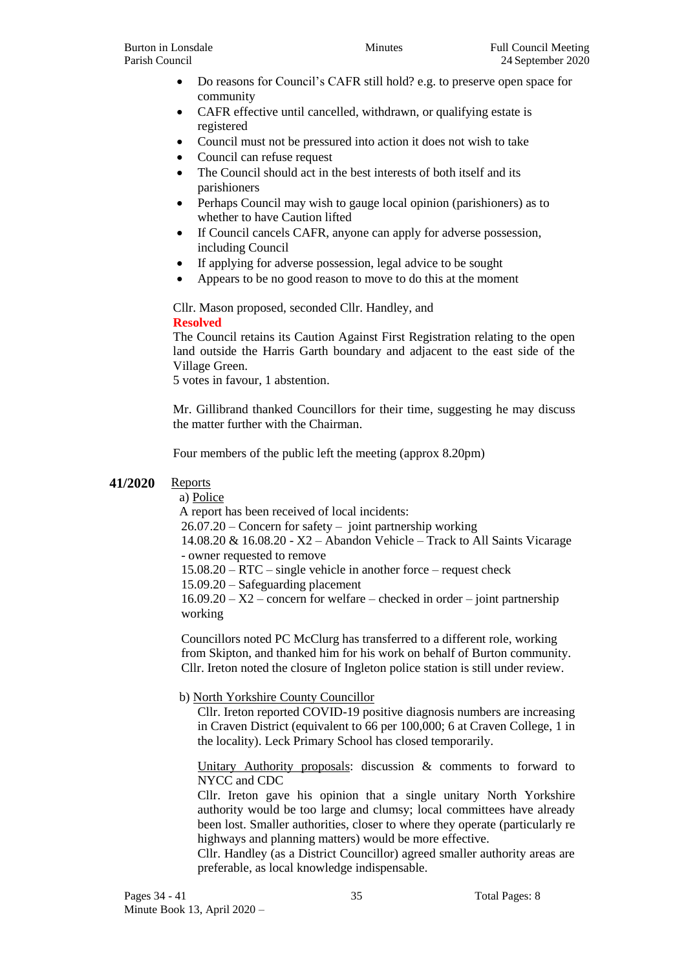- Do reasons for Council's CAFR still hold? e.g. to preserve open space for community
- CAFR effective until cancelled, withdrawn, or qualifying estate is registered
- Council must not be pressured into action it does not wish to take
- Council can refuse request
- The Council should act in the best interests of both itself and its parishioners
- Perhaps Council may wish to gauge local opinion (parishioners) as to whether to have Caution lifted
- If Council cancels CAFR, anyone can apply for adverse possession, including Council
- If applying for adverse possession, legal advice to be sought
- Appears to be no good reason to move to do this at the moment

Cllr. Mason proposed, seconded Cllr. Handley, and **Resolved**

The Council retains its Caution Against First Registration relating to the open land outside the Harris Garth boundary and adjacent to the east side of the Village Green.

5 votes in favour, 1 abstention.

Mr. Gillibrand thanked Councillors for their time, suggesting he may discuss the matter further with the Chairman.

Four members of the public left the meeting (approx 8.20pm)

## **41/2020** Reports

a) Police

A report has been received of local incidents:

26.07.20 – Concern for safety – joint partnership working

14.08.20 & 16.08.20 - X2 – Abandon Vehicle – Track to All Saints Vicarage - owner requested to remove

15.08.20 – RTC – single vehicle in another force – request check

15.09.20 – Safeguarding placement

 $16.09.20 - X2$  – concern for welfare – checked in order – joint partnership working

Councillors noted PC McClurg has transferred to a different role, working from Skipton, and thanked him for his work on behalf of Burton community. Cllr. Ireton noted the closure of Ingleton police station is still under review.

## b) North Yorkshire County Councillor

Cllr. Ireton reported COVID-19 positive diagnosis numbers are increasing in Craven District (equivalent to 66 per 100,000; 6 at Craven College, 1 in the locality). Leck Primary School has closed temporarily.

Unitary Authority proposals: discussion & comments to forward to NYCC and CDC

Cllr. Ireton gave his opinion that a single unitary North Yorkshire authority would be too large and clumsy; local committees have already been lost. Smaller authorities, closer to where they operate (particularly re highways and planning matters) would be more effective.

Cllr. Handley (as a District Councillor) agreed smaller authority areas are preferable, as local knowledge indispensable.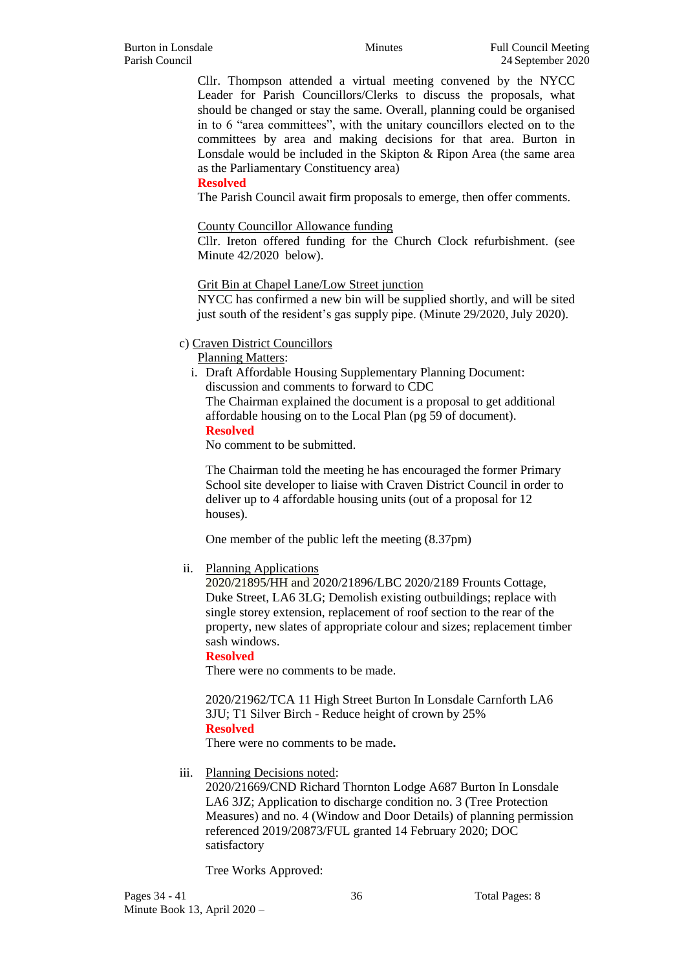Cllr. Thompson attended a virtual meeting convened by the NYCC Leader for Parish Councillors/Clerks to discuss the proposals, what should be changed or stay the same. Overall, planning could be organised in to 6 "area committees", with the unitary councillors elected on to the committees by area and making decisions for that area. Burton in Lonsdale would be included in the Skipton & Ripon Area (the same area as the Parliamentary Constituency area)

#### **Resolved**

The Parish Council await firm proposals to emerge, then offer comments.

#### County Councillor Allowance funding

Cllr. Ireton offered funding for the Church Clock refurbishment. (see Minute 42/2020 below).

#### Grit Bin at Chapel Lane/Low Street junction

NYCC has confirmed a new bin will be supplied shortly, and will be sited just south of the resident's gas supply pipe. (Minute 29/2020, July 2020).

#### c) Craven District Councillors

Planning Matters:

i. Draft Affordable Housing Supplementary Planning Document: discussion and comments to forward to CDC The Chairman explained the document is a proposal to get additional affordable housing on to the Local Plan (pg 59 of document). **Resolved**

No comment to be submitted.

The Chairman told the meeting he has encouraged the former Primary School site developer to liaise with Craven District Council in order to deliver up to 4 affordable housing units (out of a proposal for 12 houses).

One member of the public left the meeting (8.37pm)

## ii. Planning Applications

2020/21895/HH and 2020/21896/LBC 2020/2189 Frounts Cottage, Duke Street, LA6 3LG; Demolish existing outbuildings; replace with single storey extension, replacement of roof section to the rear of the property, new slates of appropriate colour and sizes; replacement timber sash windows.

#### **Resolved**

There were no comments to be made.

2020/21962/TCA 11 High Street Burton In Lonsdale Carnforth LA6 3JU; T1 Silver Birch - Reduce height of crown by 25% **Resolved**

There were no comments to be made**.**

## iii. Planning Decisions noted:

2020/21669/CND Richard Thornton Lodge A687 Burton In Lonsdale LA6 3JZ; Application to discharge condition no. 3 (Tree Protection Measures) and no. 4 (Window and Door Details) of planning permission referenced 2019/20873/FUL granted 14 February 2020; DOC satisfactory

Tree Works Approved: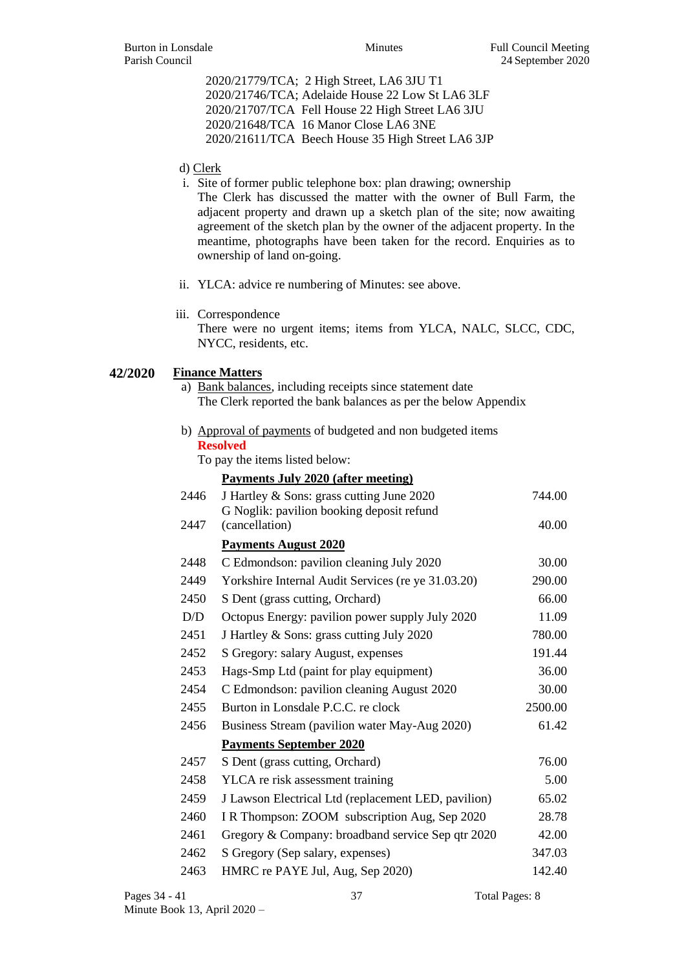2020/21779/TCA; 2 High Street, LA6 3JU T1 2020/21746/TCA; Adelaide House 22 Low St LA6 3LF 2020/21707/TCA Fell House 22 High Street LA6 3JU 2020/21648/TCA 16 Manor Close LA6 3NE 2020/21611/TCA Beech House 35 High Street LA6 3JP

#### d) Clerk

- i. Site of former public telephone box: plan drawing; ownership The Clerk has discussed the matter with the owner of Bull Farm, the adjacent property and drawn up a sketch plan of the site; now awaiting agreement of the sketch plan by the owner of the adjacent property. In the meantime, photographs have been taken for the record. Enquiries as to ownership of land on-going.
- ii. YLCA: advice re numbering of Minutes: see above.

```
iii. Correspondence
```
There were no urgent items; items from YLCA, NALC, SLCC, CDC, NYCC, residents, etc.

#### **42/2020 Finance Matters**

- a) Bank balances, including receipts since statement date The Clerk reported the bank balances as per the below Appendix
- b) Approval of payments of budgeted and non budgeted items **Resolved**

To pay the items listed below:

|      | <b>Payments July 2020 (after meeting)</b>                   |         |
|------|-------------------------------------------------------------|---------|
| 2446 | J Hartley & Sons: grass cutting June 2020                   | 744.00  |
| 2447 | G Noglik: pavilion booking deposit refund<br>(cancellation) | 40.00   |
|      | <b>Payments August 2020</b>                                 |         |
| 2448 | C Edmondson: pavilion cleaning July 2020                    | 30.00   |
| 2449 | Yorkshire Internal Audit Services (re ye 31.03.20)          | 290.00  |
| 2450 | S Dent (grass cutting, Orchard)                             | 66.00   |
| D/D  | Octopus Energy: pavilion power supply July 2020             | 11.09   |
| 2451 | J Hartley & Sons: grass cutting July 2020                   | 780.00  |
| 2452 | S Gregory: salary August, expenses                          | 191.44  |
| 2453 | Hags-Smp Ltd (paint for play equipment)                     | 36.00   |
| 2454 | C Edmondson: pavilion cleaning August 2020                  | 30.00   |
| 2455 | Burton in Lonsdale P.C.C. re clock                          | 2500.00 |
| 2456 | Business Stream (pavilion water May-Aug 2020)               | 61.42   |
|      | <b>Payments September 2020</b>                              |         |
| 2457 | S Dent (grass cutting, Orchard)                             | 76.00   |
| 2458 | YLCA re risk assessment training                            | 5.00    |
| 2459 | J Lawson Electrical Ltd (replacement LED, pavilion)         | 65.02   |
| 2460 | I R Thompson: ZOOM subscription Aug, Sep 2020               | 28.78   |
| 2461 | Gregory & Company: broadband service Sep qtr 2020           | 42.00   |
| 2462 | S Gregory (Sep salary, expenses)                            | 347.03  |
| 2463 | HMRC re PAYE Jul, Aug, Sep 2020)                            | 142.40  |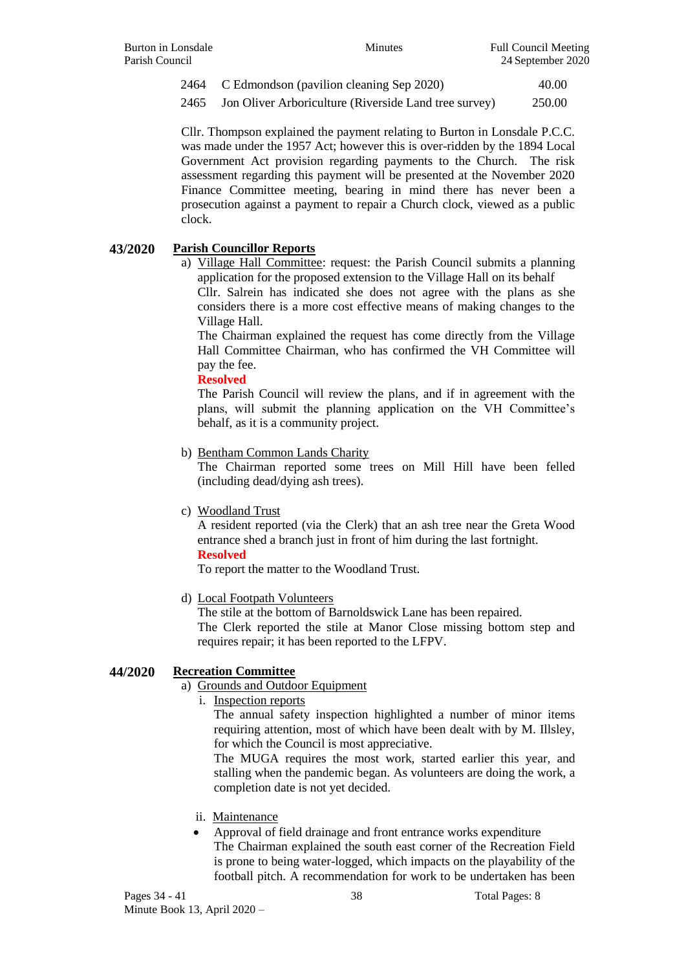2464 C Edmondson (pavilion cleaning Sep 2020) 40.00

2465 Jon Oliver Arboriculture (Riverside Land tree survey) 250.00

Cllr. Thompson explained the payment relating to Burton in Lonsdale P.C.C. was made under the 1957 Act; however this is over-ridden by the 1894 Local Government Act provision regarding payments to the Church. The risk assessment regarding this payment will be presented at the November 2020 Finance Committee meeting, bearing in mind there has never been a prosecution against a payment to repair a Church clock, viewed as a public clock.

## **43/2020 Parish Councillor Reports**

a) Village Hall Committee: request: the Parish Council submits a planning application for the proposed extension to the Village Hall on its behalf Cllr. Salrein has indicated she does not agree with the plans as she

considers there is a more cost effective means of making changes to the Village Hall.

The Chairman explained the request has come directly from the Village Hall Committee Chairman, who has confirmed the VH Committee will pay the fee.

#### **Resolved**

The Parish Council will review the plans, and if in agreement with the plans, will submit the planning application on the VH Committee's behalf, as it is a community project.

b) Bentham Common Lands Charity

The Chairman reported some trees on Mill Hill have been felled (including dead/dying ash trees).

## c) Woodland Trust

A resident reported (via the Clerk) that an ash tree near the Greta Wood entrance shed a branch just in front of him during the last fortnight. **Resolved**

To report the matter to the Woodland Trust.

d) Local Footpath Volunteers

The stile at the bottom of Barnoldswick Lane has been repaired. The Clerk reported the stile at Manor Close missing bottom step and requires repair; it has been reported to the LFPV.

## **44/2020 Recreation Committee**

a) Grounds and Outdoor Equipment

i. Inspection reports

The annual safety inspection highlighted a number of minor items requiring attention, most of which have been dealt with by M. Illsley, for which the Council is most appreciative.

The MUGA requires the most work, started earlier this year, and stalling when the pandemic began. As volunteers are doing the work, a completion date is not yet decided.

- ii. Maintenance
- Approval of field drainage and front entrance works expenditure The Chairman explained the south east corner of the Recreation Field is prone to being water-logged, which impacts on the playability of the football pitch. A recommendation for work to be undertaken has been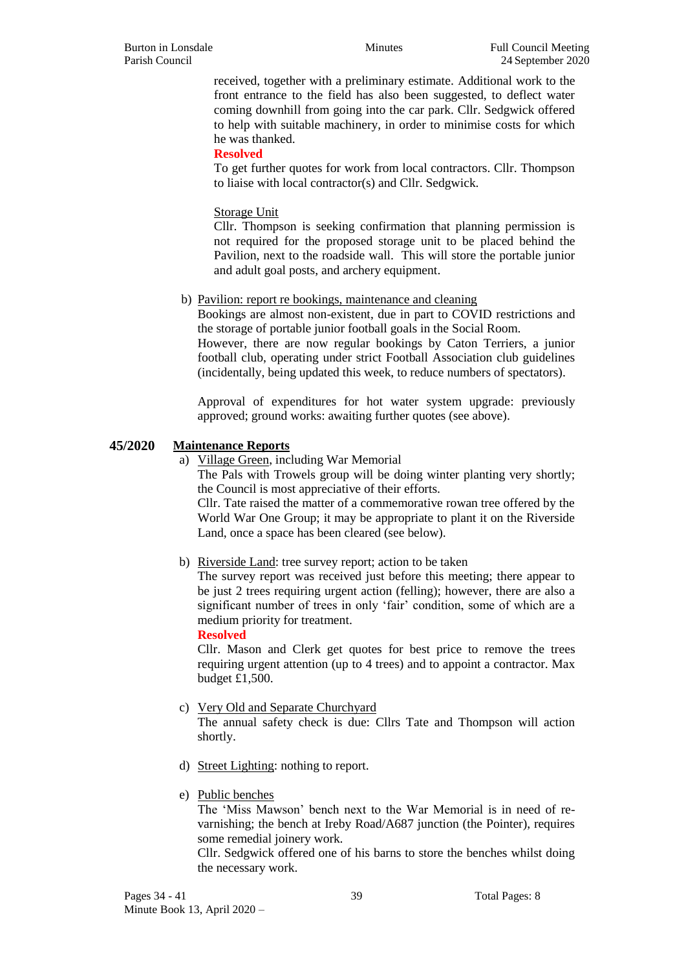received, together with a preliminary estimate. Additional work to the front entrance to the field has also been suggested, to deflect water coming downhill from going into the car park. Cllr. Sedgwick offered to help with suitable machinery, in order to minimise costs for which he was thanked.

#### **Resolved**

To get further quotes for work from local contractors. Cllr. Thompson to liaise with local contractor(s) and Cllr. Sedgwick.

#### Storage Unit

Cllr. Thompson is seeking confirmation that planning permission is not required for the proposed storage unit to be placed behind the Pavilion, next to the roadside wall. This will store the portable junior and adult goal posts, and archery equipment.

## b) Pavilion: report re bookings, maintenance and cleaning

Bookings are almost non-existent, due in part to COVID restrictions and the storage of portable junior football goals in the Social Room. However, there are now regular bookings by Caton Terriers, a junior

football club, operating under strict Football Association club guidelines (incidentally, being updated this week, to reduce numbers of spectators).

Approval of expenditures for hot water system upgrade: previously approved; ground works: awaiting further quotes (see above).

#### **45/2020 Maintenance Reports**

a) Village Green, including War Memorial

The Pals with Trowels group will be doing winter planting very shortly; the Council is most appreciative of their efforts.

Cllr. Tate raised the matter of a commemorative rowan tree offered by the World War One Group; it may be appropriate to plant it on the Riverside Land, once a space has been cleared (see below).

## b) Riverside Land: tree survey report; action to be taken

The survey report was received just before this meeting; there appear to be just 2 trees requiring urgent action (felling); however, there are also a significant number of trees in only 'fair' condition, some of which are a medium priority for treatment.

**Resolved**

Cllr. Mason and Clerk get quotes for best price to remove the trees requiring urgent attention (up to 4 trees) and to appoint a contractor. Max budget £1,500.

## c) Very Old and Separate Churchyard

The annual safety check is due: Cllrs Tate and Thompson will action shortly.

- d) Street Lighting: nothing to report.
- e) Public benches

The 'Miss Mawson' bench next to the War Memorial is in need of revarnishing; the bench at Ireby Road/A687 junction (the Pointer), requires some remedial joinery work.

Cllr. Sedgwick offered one of his barns to store the benches whilst doing the necessary work.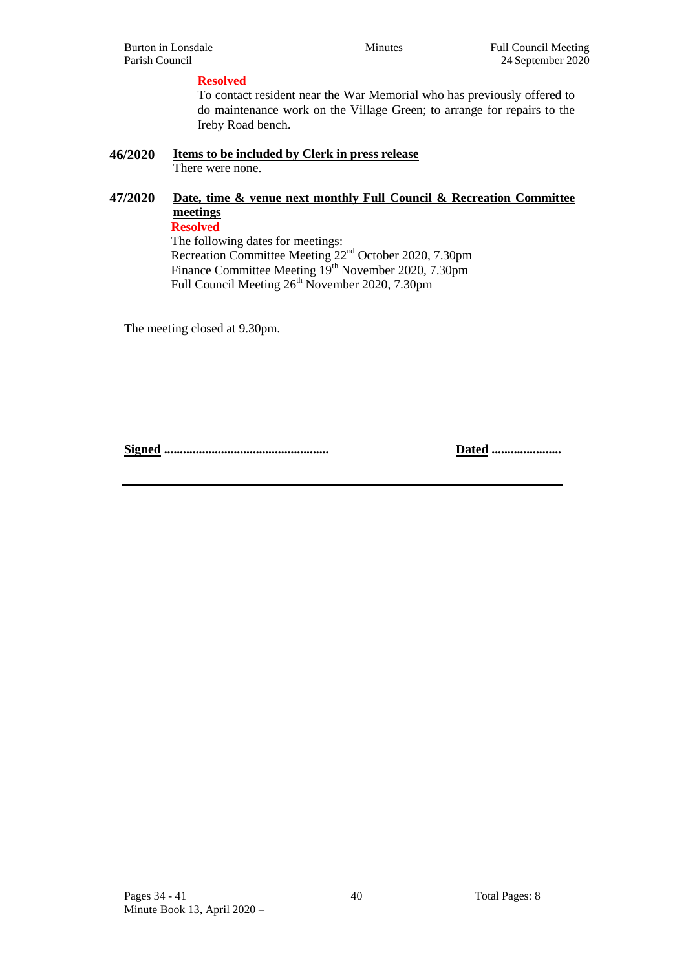#### **Resolved**

To contact resident near the War Memorial who has previously offered to do maintenance work on the Village Green; to arrange for repairs to the Ireby Road bench.

#### **46/2020 Items to be included by Clerk in press release** There were none.

## **47/2020 Date, time & venue next monthly Full Council & Recreation Committee meetings Resolved**

The following dates for meetings: Recreation Committee Meeting 22<sup>nd</sup> October 2020, 7.30pm Finance Committee Meeting 19<sup>th</sup> November 2020, 7.30pm Full Council Meeting 26<sup>th</sup> November 2020, 7.30pm

The meeting closed at 9.30pm.

**Signed .................................................... Dated ......................**